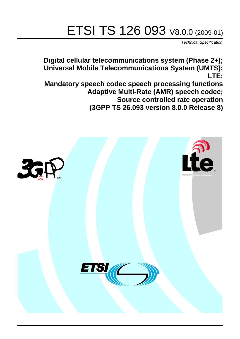# ETSI TS 126 093 V8.0.0 (2009-01)

*Technical Specification*

**Digital cellular telecommunications system (Phase 2+); Universal Mobile Telecommunications System (UMTS); LTE; Mandatory speech codec speech processing functions** 

**Adaptive Multi-Rate (AMR) speech codec;**

**Source controlled rate operation (3GPP TS 26.093 version 8.0.0 Release 8)**

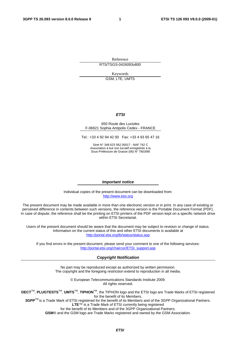Reference RTS/TSGS-0426093v800

> Keywords GSM, LTE, UMTS

#### *ETSI*

#### 650 Route des Lucioles F-06921 Sophia Antipolis Cedex - FRANCE

Tel.: +33 4 92 94 42 00 Fax: +33 4 93 65 47 16

Siret N° 348 623 562 00017 - NAF 742 C Association à but non lucratif enregistrée à la Sous-Préfecture de Grasse (06) N° 7803/88

#### *Important notice*

Individual copies of the present document can be downloaded from: [http://www.etsi.org](http://www.etsi.org/)

The present document may be made available in more than one electronic version or in print. In any case of existing or perceived difference in contents between such versions, the reference version is the Portable Document Format (PDF). In case of dispute, the reference shall be the printing on ETSI printers of the PDF version kept on a specific network drive within ETSI Secretariat.

Users of the present document should be aware that the document may be subject to revision or change of status. Information on the current status of this and other ETSI documents is available at <http://portal.etsi.org/tb/status/status.asp>

If you find errors in the present document, please send your comment to one of the following services: [http://portal.etsi.org/chaircor/ETSI\\_support.asp](http://portal.etsi.org/chaircor/ETSI_support.asp)

#### *Copyright Notification*

No part may be reproduced except as authorized by written permission. The copyright and the foregoing restriction extend to reproduction in all media.

> © European Telecommunications Standards Institute 2009. All rights reserved.

**DECT**TM, **PLUGTESTS**TM, **UMTS**TM, **TIPHON**TM, the TIPHON logo and the ETSI logo are Trade Marks of ETSI registered for the benefit of its Members.

**3GPP**TM is a Trade Mark of ETSI registered for the benefit of its Members and of the 3GPP Organizational Partners. **LTE**™ is a Trade Mark of ETSI currently being registered

for the benefit of its Members and of the 3GPP Organizational Partners.

**GSM**® and the GSM logo are Trade Marks registered and owned by the GSM Association.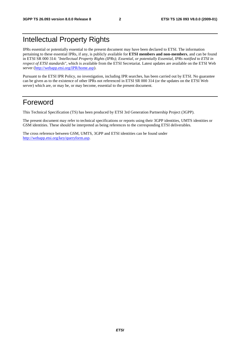### Intellectual Property Rights

IPRs essential or potentially essential to the present document may have been declared to ETSI. The information pertaining to these essential IPRs, if any, is publicly available for **ETSI members and non-members**, and can be found in ETSI SR 000 314: *"Intellectual Property Rights (IPRs); Essential, or potentially Essential, IPRs notified to ETSI in respect of ETSI standards"*, which is available from the ETSI Secretariat. Latest updates are available on the ETSI Web server ([http://webapp.etsi.org/IPR/home.asp\)](http://webapp.etsi.org/IPR/home.asp).

Pursuant to the ETSI IPR Policy, no investigation, including IPR searches, has been carried out by ETSI. No guarantee can be given as to the existence of other IPRs not referenced in ETSI SR 000 314 (or the updates on the ETSI Web server) which are, or may be, or may become, essential to the present document.

### Foreword

This Technical Specification (TS) has been produced by ETSI 3rd Generation Partnership Project (3GPP).

The present document may refer to technical specifications or reports using their 3GPP identities, UMTS identities or GSM identities. These should be interpreted as being references to the corresponding ETSI deliverables.

The cross reference between GSM, UMTS, 3GPP and ETSI identities can be found under [http://webapp.etsi.org/key/queryform.asp.](http://webapp.etsi.org/key/queryform.asp)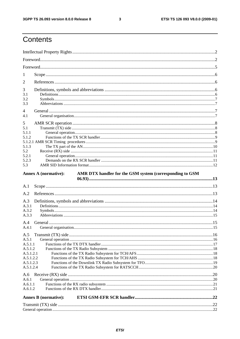$\mathbf{3}$ 

## Contents

| 1              |                                                                                         |  |
|----------------|-----------------------------------------------------------------------------------------|--|
| $\overline{2}$ |                                                                                         |  |
| 3              |                                                                                         |  |
| 3.1            |                                                                                         |  |
| 3.2            |                                                                                         |  |
| 3.3            |                                                                                         |  |
| 4              |                                                                                         |  |
| 4.1            |                                                                                         |  |
| 5              |                                                                                         |  |
| 5.1            |                                                                                         |  |
| 5.1.1          |                                                                                         |  |
| 5.1.2          |                                                                                         |  |
|                |                                                                                         |  |
| 5.1.3          |                                                                                         |  |
| 5.2            |                                                                                         |  |
| 5.2.1          |                                                                                         |  |
| 5.2.3          |                                                                                         |  |
| 5.3            |                                                                                         |  |
|                | <b>Annex A (normative):</b><br>AMR DTX handler for the GSM system (corresponding to GSM |  |
|                |                                                                                         |  |
| A.1            |                                                                                         |  |
|                |                                                                                         |  |
| A.2            |                                                                                         |  |
| A.3            |                                                                                         |  |
| A.3.1          |                                                                                         |  |
| A.3.2          |                                                                                         |  |
| A.3.3          |                                                                                         |  |
| A.4            |                                                                                         |  |
| A.4.1          |                                                                                         |  |
| A.5            |                                                                                         |  |
| A.5.1          |                                                                                         |  |
| A.5.1.1        |                                                                                         |  |
| A.5.1.2        |                                                                                         |  |
| A.5.1.2.1      |                                                                                         |  |
| A.5.1.2.2      |                                                                                         |  |
| A.5.1.2.3      |                                                                                         |  |
| A.5.1.2.4      |                                                                                         |  |
| A.6            |                                                                                         |  |
| A.6.1          |                                                                                         |  |
| A.6.1.1        |                                                                                         |  |
| A.6.1.2        |                                                                                         |  |
|                | <b>Annex B</b> (normative):                                                             |  |
|                |                                                                                         |  |
|                |                                                                                         |  |
|                |                                                                                         |  |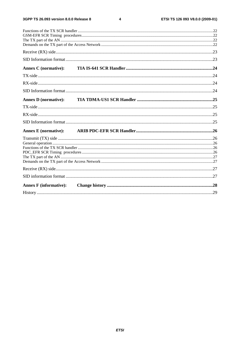$\overline{\mathbf{4}}$ 

| <b>Annex C</b> (normative):   |  |  |
|-------------------------------|--|--|
|                               |  |  |
|                               |  |  |
|                               |  |  |
| <b>Annex D</b> (normative):   |  |  |
|                               |  |  |
|                               |  |  |
|                               |  |  |
|                               |  |  |
| <b>Annex E</b> (normative):   |  |  |
|                               |  |  |
|                               |  |  |
|                               |  |  |
|                               |  |  |
|                               |  |  |
|                               |  |  |
|                               |  |  |
|                               |  |  |
| <b>Annex F</b> (informative): |  |  |
|                               |  |  |
|                               |  |  |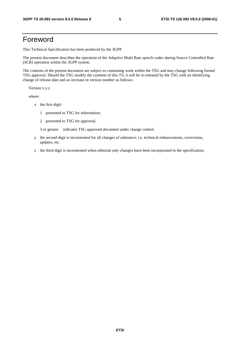### Foreword

This Technical Specification has been produced by the 3GPP.

The present document describes the operation of the Adaptive Multi Rate speech codec during Source Controlled Rate (SCR) operation within the 3GPP system.

The contents of the present document are subject to continuing work within the TSG and may change following formal TSG approval. Should the TSG modify the contents of this TS, it will be re-released by the TSG with an identifying change of release date and an increase in version number as follows:

Version x.y.z

where:

- x the first digit:
	- 1 presented to TSG for information;
	- 2 presented to TSG for approval;

3 or greater indicates TSG approved document under change control.

- y the second digit is incremented for all changes of substance, i.e. technical enhancements, corrections, updates, etc.
- z the third digit is incremented when editorial only changes have been incorporated in the specification;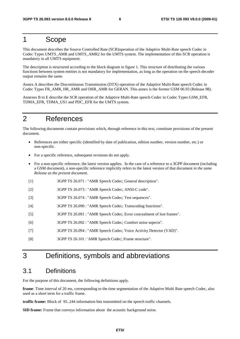### 1 Scope

This document describes the Source Controlled Rate (SCR)operation of the Adaptive Multi-Rate speech Codec in Codec Types UMTS\_AMR and UMTS\_AMR2 for the UMTS system. The implementation of this SCR operation is mandatory in all UMTS equipment.

The description is structured according to the block diagram in figure 1. This structure of distributing the various functions between system entities is not mandatory for implementation, as long as the operation on the speech decoder output remains the same.

Annex A describes the Discontinuous Transmission (DTX) operation of the Adaptive Multi-Rate speech Codec in Codec Types FR\_AMR, HR\_AMR and OHR\_AMR for GERAN. This annex is the former GSM 06.93 (Release 98).

Annexes B to E describe the SCR operation of the Adaptive Multi-Rate speech Codec in Codec Types GSM\_EFR, TDMA\_EFR, TDMA\_US1 and PDC\_EFR for the UMTS system.

### 2 References

The following documents contain provisions which, through reference in this text, constitute provisions of the present document.

- References are either specific (identified by date of publication, edition number, version number, etc.) or non-specific.
- For a specific reference, subsequent revisions do not apply.
- For a non-specific reference, the latest version applies. In the case of a reference to a 3GPP document (including a GSM document), a non-specific reference implicitly refers to the latest version of that document *in the same Release as the present document*.
- [1] 3GPP TS 26.071 : "AMR Speech Codec; General description".
- [2] 3GPP TS 26.073 : "AMR Speech Codec; ANSI-C code".
- [3] 3GPP TS 26.074 : "AMR Speech Codec; Test sequences".
- [4] 3GPP TS 26.090 : "AMR Speech Codec; Transcoding functions".
- [5] 3GPP TS 26.091 : "AMR Speech Codec; Error concealment of lost frames".
- [6] 3GPP TS 26.092 : "AMR Speech Codec; Comfort noise aspects".
- [7] 3GPP TS 26.094 : "AMR Speech Codec; Voice Activity Detector (VAD)".
- [8] 3GPP TS 26.101 : 'AMR Speech Codec; Frame structure".

### 3 Definitions, symbols and abbreviations

### 3.1 Definitions

For the purpose of this document, the following definitions apply.

**frame**: Time interval of 20 ms, corresponding to the time segmentation of the Adaptive Multi Rate speech Codec, also used as a short term for a traffic frame.

**traffic frame:** Block of 95..244 information bits transmitted on the speech traffic channels.

**SID frame:** Frame that conveys information about the acoustic background noise.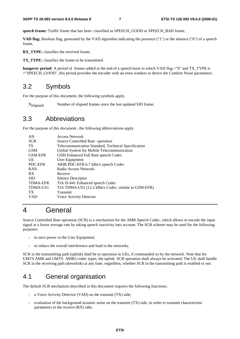**speech frame:** Traffic frame that has been classified as SPEECH\_GOOD or SPEECH\_BAD frame.

**VAD flag:** Boolean flag, generated by the VAD algorithm indicating the presence ("1") or the absence ("0") of a speech frame.

**RX** TYPE: classifies the received frame.

**TX\_TYPE:** classifies the frame to be transmitted.

**hangover period:** A period of frames added at the end of a speech burst in which VAD flag ="0" and TX\_TYPE is ="SPEECH\_GOOD", this period provides the encoder with an extra window to derive the Comfort Noise parameters .

### 3.2 Symbols

For the purpose of this document, the following symbols apply.

Nelapsed Number of elapsed frames since the last updated SID frame.

### 3.3 Abbreviations

For the purpose of this document , the following abbreviations apply.

| AN              | <b>Access Network</b>                                |
|-----------------|------------------------------------------------------|
| <b>SCR</b>      | Source Controlled Rate operation                     |
| TS              | Telecommunication Standard, Technical Specification  |
| <b>GSM</b>      | Global System for Mobile Telecommunication           |
| <b>GSM-EFR</b>  | GSM Enhanced Full Rate speech Codec                  |
| UE              | User Equipment                                       |
| PDC-EFR         | ARIB PDC-EFR 6.7 kBit/s speech Codec                 |
| <b>RAN</b>      | Radio Access Network                                 |
| RX              | Receive                                              |
| <b>SID</b>      | Silence Descriptor                                   |
| <b>TDMA-EFR</b> | TIA IS-641 Enhanced speech Codec                     |
| TDMA-US1        | TIA TDMA-US1 (12.2 kBit/s Codec, similar to GSM-EFR) |
| <b>TX</b>       | Transmit                                             |
| VAD             | Voice Activity Detector                              |

### 4 General

Source Controlled Rate operation (SCR) is a mechanism for the AMR Speech Codec, which allows to encode the input signal at a lower average rate by taking speech inactivity into account. The SCR scheme may be used for the following purposes:

- to save power in the User Equipment:
- to reduce the overall interference and load in the networks.

SCR in the transmitting path (uplink) shall be in operation in UEs, if commanded so by the network. Note that for UMTS AMR and UMTS AMR2 codec types, the uplink SCR operation shall always be activated. The UE shall handle SCR in the receiving path (downlink) at any time, regardless, whether SCR in the transmitting path is enabled or not.

### 4.1 General organisation

The default SCR mechanism described in this document requires the following functions:

- a Voice Activity Detector (VAD) on the transmit (TX) side;
- evaluation of the background acoustic noise on the transmit  $(TX)$  side, in order to transmit characteristic parameters to the receive (RX) side;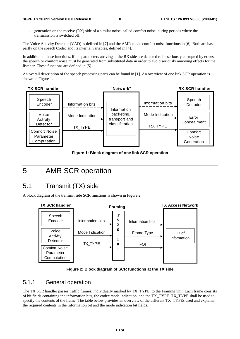- generation on the receive (RX) side of a similar noise, called comfort noise, during periods where the transmission is switched off.

The Voice Activity Detector (VAD) is defined in [7] and the AMR-mode comfort noise functions in [6]. Both are based partly on the speech Codec and its internal variables, defined in [4].

In addition to these functions, if the parameters arriving at the RX side are detected to be seriously corrupted by errors, the speech or comfort noise must be generated from substituted data in order to avoid seriously annoying effects for the listener. These functions are defined in [5].

An overall description of the speech processing parts can be found in [1]. An overview of one link SCR operation is shown in Figure 1.



**Figure 1: Block diagram of one link SCR operation** 

### 5 AMR SCR operation

### 5.1 Transmit (TX) side

A block diagram of the transmit side SCR functions is shown in Figure 2.





#### 5.1.1 General operation

The TX SCR handler passes traffic frames, individually marked by TX\_TYPE, to the Framing unit. Each frame consists of bit fields containing the information bits, the codec mode indication, and the TX\_TYPE. TX\_TYPE shall be used to specify the contents of the frame. The table below provides an overview of the different TX\_TYPEs used and explains the required contents in the information bit and the mode indication bit fields.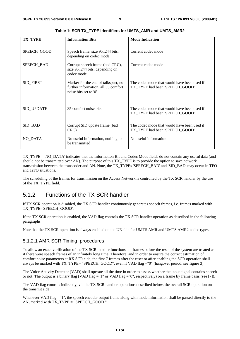| <b>TX_TYPE</b>    | <b>Information Bits</b>                                                                             | <b>Mode Indication</b>                                                        |
|-------------------|-----------------------------------------------------------------------------------------------------|-------------------------------------------------------------------------------|
| SPEECH_GOOD       | Speech frame, size 95244 bits,<br>depending on codec mode                                           | Current codec mode                                                            |
| <b>SPEECH BAD</b> | Corrupt speech frame (bad CRC),<br>size 95244 bits, depending on<br>codec mode                      | Current codec mode                                                            |
| SID_FIRST         | Marker for the end of talkspurt, no<br>further information, all 35 comfort<br>noise bits set to '0' | The codec mode that would have been used if<br>TX_TYPE had been 'SPEECH_GOOD' |
| SID_UPDATE        | 35 comfort noise bits                                                                               | The codec mode that would have been used if<br>TX_TYPE had been 'SPEECH_GOOD' |
| SID_BAD           | Corrupt SID update frame (bad<br>CRC)                                                               | The codec mode that would have been used if<br>TX_TYPE had been 'SPEECH_GOOD' |
| <b>NO_DATA</b>    | No useful information, nothing to<br>be transmitted                                                 | No useful information                                                         |

**Table 1: SCR TX\_TYPE identifiers for UMTS\_AMR and UMTS\_AMR2** 

TX\_TYPE = 'NO\_DATA' indicates that the Information Bit and Codec Mode fields do not contain any useful data (and should not be transmitted over AN). The purpose of this TX\_TYPE is to provide the option to save network transmission between the transcoder and AN. Note, the TX\_TYPEs 'SPEECH\_BAD' and 'SID\_BAD' may occur in TFO and TrFO situations.

The scheduling of the frames for transmission on the Access Network is controlled by the TX SCR handler by the use of the TX\_TYPE field.

### 5.1.2 Functions of the TX SCR handler

If TX SCR operation is disabled, the TX SCR handler continuously generates speech frames, i.e. frames marked with TX\_TYPE='SPEECH\_GOOD'.

If the TX SCR operation is enabled, the VAD flag controls the TX SCR handler operation as described in the following paragraphs.

Note that the TX SCR operation is always enabled on the UE side for UMTS AMR and UMTS AMR2 codec types.

#### 5.1.2.1 AMR SCR Timing procedures

To allow an exact verification of the TX SCR handler functions, all frames before the reset of the system are treated as if there were speech frames of an infinitely long time. Therefore, and in order to ensure the correct estimation of comfort noise parameters at RX SCR side, the first 7 frames after the reset or after enabling the SCR operation shall always be marked with TX\_TYPE= "SPEECH\_GOOD", even if VAD flag ="0" (hangover period, see figure 3).

The Voice Activity Detector (VAD) shall operate all the time in order to assess whether the input signal contains speech or not. The output is a binary flag (VAD flag ="1" or VAD flag ="0", respectively) on a frame by frame basis (see [7]).

The VAD flag controls indirectly, via the TX SCR handler operations described below, the overall SCR operation on the transmit side.

Whenever VAD flag ="1", the speech encoder output frame along with mode information shall be passed directly to the AN, marked with TX\_TYPE =" SPEECH\_GOOD "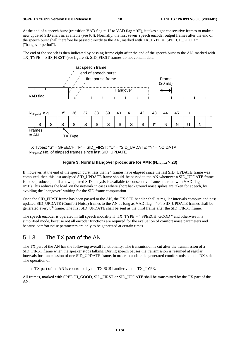At the end of a speech burst (transition VAD flag ="1" to VAD flag ="0"), it takes eight consecutive frames to make a new updated SID analysis available (see [6]). Normally, the first seven speech encoder output frames after the end of the speech burst shall therefore be passed directly to the AN, marked with TX\_TYPE =" SPEECH\_GOOD " ("hangover period").

The end of the speech is then indicated by passing frame eight after the end of the speech burst to the AN, marked with TX\_TYPE = 'SID\_FIRST' (see figure 3). SID\_FIRST frames do not contain data.



TX Types: "S" = SPEECH; "F" = SID\_FIRST; "U" = "SID\_UPDATE; "N" = NO DATA Nelapsed: No. of elapsed frames since last SID\_UPDATE

#### Figure 3: Normal hangover procedure for AMR (N<sub>elansed</sub> > 23)

If, however, at the end of the speech burst, less than 24 frames have elapsed since the last SID\_UPDATE frame was computed, then this last analysed SID\_UPDATE frame should be passed to the AN whenever a SID\_UPDATE frame is to be produced, until a new updated SID analysis is available (8 consecutive frames marked with VAD flag ="0").This reduces the load on the network in cases where short background noise spikes are taken for speech, by avoiding the "hangover" waiting for the SID frame computation.

Once the SID\_FIRST frame has been passed to the AN, the TX SCR handler shall at regular intervals compute and pass updated SID\_UPDATE (Comfort Noise) frames to the AN as long as VAD flag = "0". SID\_UPDATE frames shall be generated every 8<sup>th</sup> frame. The first SID\_UPDATE shall be sent as the third frame after the SID\_FIRST frame.

The speech encoder is operated in full speech modality if TX\_TYPE = " SPEECH\_GOOD " and otherwise in a simplified mode, because not all encoder functions are required for the evaluation of comfort noise parameters and because comfort noise parameters are only to be generated at certain times.

#### 5.1.3 The TX part of the AN

The TX part of the AN has the following overall functionality. The transmission is cut after the transmission of a SID\_FIRST frame when the speaker stops talking. During speech pauses the transmission is resumed at regular intervals for transmission of one SID\_UPDATE frame, in order to update the generated comfort noise on the RX side. The operation of

the TX part of the AN is controlled by the TX SCR handler via the TX\_TYPE.

All frames, marked with SPEECH\_GOOD, SID\_FIRST or SID\_UPDATE shall be transmitted by the TX part of the AN.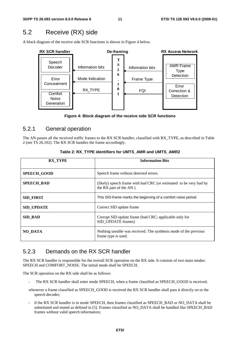### 5.2 Receive (RX) side

A block diagram of the receive side SCR functions is shown in Figure 4 below.



**Figure 4: Block diagram of the receive side SCR functions** 

#### 5.2.1 General operation

The AN passes all the received traffic frames to the RX SCR handler, classified with RX\_TYPE, as described in Table 2 (see TS 26.102). The RX SCR handles the frame accordingly.

| <b>RX TYPE</b>     | <b>Information Bits</b>                                                                      |  |
|--------------------|----------------------------------------------------------------------------------------------|--|
| <b>SPEECH GOOD</b> | Speech frame without detected errors.                                                        |  |
| <b>SPEECH_BAD</b>  | (likely) speech frame with bad CRC (or estimated to be very bad by<br>the RX part of the AN) |  |
| <b>SID FIRST</b>   | This SID-frame marks the beginning of a comfort noise period.                                |  |
| <b>SID UPDATE</b>  | Correct SID update frame                                                                     |  |
| <b>SID BAD</b>     | Corrupt SID update frame (bad CRC; applicable only for<br>SID UPDATE frames)                 |  |
| <b>NO DATA</b>     | Nothing useable was received. The synthesis mode of the previous<br>frame type is used.      |  |

#### **Table 2: RX\_TYPE identifiers for UMTS\_AMR and UMTS\_AMR2**

#### 5.2.3 Demands on the RX SCR handler

The RX SCR handler is responsible for the overall SCR operation on the RX side. It consists of two main modes: SPEECH and COMFORT\_NOISE. The initial mode shall be SPEECH.

The SCR operation on the RX side shall be as follows:

- The RX SCR handler shall enter mode SPEECH, when a frame classified as SPEECH GOOD is received.
- whenever a frame classified as SPEECH\_GOOD is received the RX SCR handler shall pass it directly on to the speech decoder;
- if the RX SCR handler is in mode SPEECH, then frames classified as SPEECH\_BAD or NO\_DATA shall be substituted and muted as defined in [5]. Frames classified as NO\_DATA shall be handled like SPEECH\_BAD frames without valid speech information;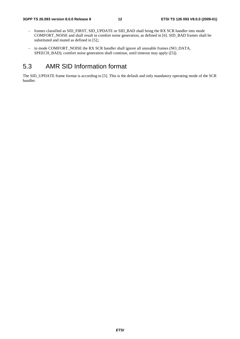- frames classified as SID\_FIRST, SID\_UPDATE or SID\_BAD shall bring the RX SCR handler into mode COMFORT\_NOISE and shall result in comfort noise generation, as defined in [6]. SID\_BAD frames shall be substituted and muted as defined in [5];;
- in mode COMFORT\_NOISE the RX SCR handler shall ignore all unusable frames (NO\_DATA, SPEECH\_BAD); comfort noise generation shall continue, until timeout may apply ([5]).

### 5.3 AMR SID Information format

The SID\_UPDATE frame format is according to [5]. This is the default and only mandatory operating mode of the SCR handler.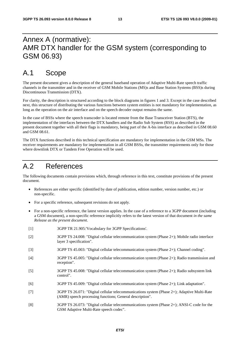### Annex A (normative): AMR DTX handler for the GSM system (corresponding to GSM 06.93)

### A.1 Scope

The present document gives a description of the general baseband operation of Adaptive Multi-Rate speech traffic channels in the transmitter and in the receiver of GSM Mobile Stations (MS)s and Base Station Systems (BSS)s during Discontinuous Transmission (DTX).

For clarity, the description is structured according to the block diagrams in figures 1 and 3. Except in the case described next, this structure of distributing the various functions between system entities is not mandatory for implementation, as long as the operation on the air interface and on the speech decoder output remains the same.

In the case of BSSs where the speech transcoder is located remote from the Base Transceiver Station (BTS), the implementation of the interfaces between the DTX handlers and the Radio Sub System (RSS) as described in the present document together with all their flags is mandatory, being part of the A-bis interface as described in GSM 08.60 and GSM 08.61.

The DTX functions described in this technical specification are mandatory for implementation in the GSM MSs. The receiver requirements are mandatory for implementation in all GSM BSSs, the transmitter requirements only for those where downlink DTX or Tandem Free Operation will be used.

### A.2 References

The following documents contain provisions which, through reference in this text, constitute provisions of the present document.

- References are either specific (identified by date of publication, edition number, version number, etc.) or non-specific.
- For a specific reference, subsequent revisions do not apply.
- For a non-specific reference, the latest version applies. In the case of a reference to a 3GPP document (including a GSM document), a non-specific reference implicitly refers to the latest version of that document *in the same Release as the present document*.
- [1] 3GPP TR 21.905:'Vocabulary for 3GPP Specifications'.
- [2] 3GPP TS 24.008: "Digital cellular telecommunication system (Phase 2+); Mobile radio interface layer 3 specification".
- [3] 3GPP TS 45.003: "Digital cellular telecommunication system (Phase 2+); Channel coding".
- [4] 3GPP TS 45.005: "Digital cellular telecommunication system (Phase 2+); Radio transmission and reception".
- [5] 3GPP TS 45.008: "Digital cellular telecommunication system (Phase 2+); Radio subsystem link control".
- [6] 3GPP TS 45.009: "Digital cellular telecommunication system (Phase 2+); Link adaptation".
- [7] 3GPP TS 26.071: "Digital cellular telecommunications system (Phase 2+); Adaptive Multi-Rate (AMR) speech processing functions; General description".
- [8] 3GPP TS 26.073: "Digital cellular telecommunications system (Phase 2+); ANSI-C code for the GSM Adaptive Multi-Rate speech codec".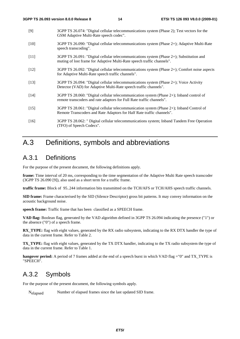- [9] 3GPP TS 26.074: "Digital cellular telecommunications system (Phase 2); Test vectors for the GSM Adaptive Multi-Rate speech codec".
- [10] 3GPP TS 26.090: "Digital cellular telecommunications system (Phase 2+); Adaptive Multi-Rate speech transcoding".
- [11] 3GPP TS 26.091: "Digital cellular telecommunications system (Phase 2+); Substitution and muting of lost frame for Adaptive Multi-Rate speech traffic channels".
- [12] 3GPP TS 26.092: "Digital cellular telecommunications system (Phase 2+); Comfort noise aspects for Adaptive Multi-Rate speech traffic channels".
- [13] 3GPP TS 26.094: "Digital cellular telecommunications system (Phase 2+); Voice Activity Detector (VAD) for Adaptive Multi-Rate speech traffic channels".
- [14] 3GPP TS 28.060: "Digital cellular telecommunication system (Phase 2+); Inband control of remote transcoders and rate adaptors for Full Rate traffic channels".
- [15] 3GPP TS 28.061: "Digital cellular telecommunication system (Phase 2+); Inband Control of Remote Transcoders and Rate Adaptors for Half Rate traffic channels".
- [16] 3GPP TS 28.062: " Digital cellular telecommunications system; Inband Tandem Free Operation (TFO) of Speech Codecs".

### A.3 Definitions, symbols and abbreviations

### A.3.1 Definitions

For the purpose of the present document, the following definitions apply.

**frame:** Time interval of 20 ms, corresponding to the time segmentation of the Adaptive Multi Rate speech transcoder (3GPP TS 26.090 [9]), also used as a short term for a traffic frame.

**traffic frame:** Block of 95..244 information bits transmitted on the TCH/AFS or TCH/AHS speech traffic channels.

**SID frame:** Frame characterised by the SID (Silence Descriptor) gross bit patterns. It may convey information on the acoustic background noise.

**speech frame:** Traffic frame that has been classified as a SPEECH frame.

**VAD flag:** Boolean flag, generated by the VAD algorithm defined in 3GPP TS 26.094 indicating the presence ("1") or the absence ("0") of a speech frame.

**RX\_TYPE:** flag with eight values, generated by the RX radio subsystem, indicating to the RX DTX handler the type of data in the current frame. Refer to Table 2.

**TX\_TYPE:** flag with eight values, generated by the TX DTX handler, indicating to the TX radio subsystem the type of data in the current frame. Refer to Table 1.

**hangover period:** A period of 7 frames added at the end of a speech burst in which VAD flag ="0" and TX\_TYPE is "SPEECH".

### A.3.2 Symbols

For the purpose of the present document, the following symbols apply.

Nelapsed Number of elapsed frames since the last updated SID frame.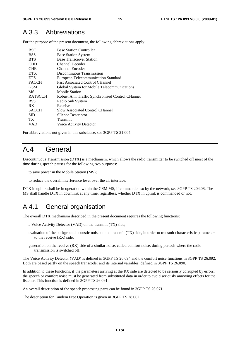### A.3.3 Abbreviations

For the purpose of the present document, the following abbreviations apply.

| <b>BSC</b>     | <b>Base Station Controller</b>                  |
|----------------|-------------------------------------------------|
| <b>BSS</b>     | <b>Base Station System</b>                      |
| <b>BTS</b>     | <b>Base Transceiver Station</b>                 |
| <b>CHD</b>     | <b>Channel Decoder</b>                          |
| <b>CHE</b>     | Channel Encoder                                 |
| <b>DTX</b>     | Discontinuous Transmission                      |
| <b>ETS</b>     | <b>European Telecommunication Standard</b>      |
| <b>FACCH</b>   | <b>Fast Associated Control CHannel</b>          |
| <b>GSM</b>     | Global System for Mobile Telecommunications     |
| MS             | <b>Mobile Station</b>                           |
| <b>RATSCCH</b> | Robust Amr Traffic Synchronised Control CHannel |
| <b>RSS</b>     | Radio Sub System                                |
| <b>RX</b>      | Receive                                         |
| <b>SACCH</b>   | <b>Slow Associated Control CHannel</b>          |
| <b>SID</b>     | <b>SIlence Descriptor</b>                       |
| TX.            | Transmit                                        |
| VAD            | Voice Activity Detector                         |
|                |                                                 |

For abbreviations not given in this subclause, see 3GPP TS 21.004.

### A.4 General

Discontinuous Transmission (DTX) is a mechanism, which allows the radio transmitter to be switched off most of the time during speech pauses for the following two purposes:

to save power in the Mobile Station (MS);

to reduce the overall interference level over the air interface.

DTX in uplink shall be in operation within the GSM MS, if commanded so by the network, see 3GPP TS 204.08. The MS shall handle DTX in downlink at any time, regardless, whether DTX in uplink is commanded or not.

### A.4.1 General organisation

The overall DTX mechanism described in the present document requires the following functions:

- a Voice Activity Detector (VAD) on the transmit (TX) side;
- evaluation of the background acoustic noise on the transmit (TX) side, in order to transmit characteristic parameters to the receive (RX) side;
- generation on the receive (RX) side of a similar noise, called comfort noise, during periods where the radio transmission is switched off.

The Voice Activity Detector (VAD) is defined in 3GPP TS 26.094 and the comfort noise functions in 3GPP TS 26.092. Both are based partly on the speech transcoder and its internal variables, defined in 3GPP TS 26.090.

In addition to these functions, if the parameters arriving at the RX side are detected to be seriously corrupted by errors, the speech or comfort noise must be generated from substituted data in order to avoid seriously annoying effects for the listener. This function is defined in 3GPP TS 26.091.

An overall description of the speech processing parts can be found in 3GPP TS 26.071.

The description for Tandem Free Operation is given in 3GPP TS 28.062.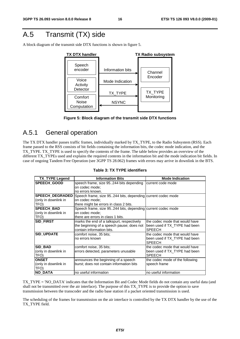## A.5 Transmit (TX) side

A block diagram of the transmit side DTX functions is shown in figure 5.





### A.5.1 General operation

The TX DTX handler passes traffic frames, individually marked by TX\_TYPE, to the Radio Subsystem (RSS). Each frame passed to the RSS consists of bit fields containing the information bits, the codec mode indication, and the TX\_TYPE. TX\_TYPE is used to specify the contents of the frame. The table below provides an overview of the different TX\_TYPEs used and explains the required contents in the information bit and the mode indication bit fields. In case of ongoing Tandem Free Operation (see 3GPP TS 28.062) frames with errors may arrive in downlink in the BTS.

| <b>TX TYPE Legend</b>  | <b>Information Bits</b>                                     | <b>Mode Indication</b>          |
|------------------------|-------------------------------------------------------------|---------------------------------|
| ISPEECH GOOD           | speech frame, size 95244 bits depending                     | current code mode               |
|                        | on codec mode;                                              |                                 |
|                        | no errors known.                                            |                                 |
| <b>SPEECH DEGRADED</b> | Speech frame, size 95244 bits, depending current codec mode |                                 |
| (only in downlink in   | on codec mode;                                              |                                 |
| TFO)                   | there might be errors in class 2 bits.                      |                                 |
| <b>SPEECH BAD</b>      | Speech frame, size 95244 bits, depending current codec mode |                                 |
| (only in downlink in   | on codec mode;                                              |                                 |
| TFO)                   | there are errors in class 1 bits.                           |                                 |
| Isid First             | marks the end of a talkspurt, respectively                  | the codec mode that would have  |
|                        | the beginning of a speech pause; does not                   | been used if TX_TYPE had been   |
|                        | contain information bits.                                   | <b>SPEECH</b>                   |
| <b>SID UPDATE</b>      | comfort noise, 35 bits;                                     | the codec mode that would have  |
|                        | no errors known                                             | been used if TX TYPE had been   |
|                        |                                                             | <b>SPEECH</b>                   |
| <b>SID BAD</b>         | comfort noise, 35 bits;                                     | the codec mode that would have  |
| (only in downlink in   | errors detected, parameters unusable                        | been used if TX TYPE had been   |
| TFO)                   |                                                             | <b>SPEECH</b>                   |
| <b>ONSET</b>           | announces the beginning of a speech                         | the codec mode of the following |
| (only in downlink in   | burst; does not contain information bits                    | speech frame                    |
| TFO)                   |                                                             |                                 |
| INO DATA               | no useful information                                       | no useful information           |

#### **Table 3: TX TYPE identifiers**

TX\_TYPE = 'NO\_DATA' indicates that the Information Bit and Codec Mode fields do not contain any useful data (and shall not be transmitted over the air interface). The purpose of this TX\_TYPE is to provide the option to save transmission between the transcoder and the radio base station if a packet oriented transmission is used.

The scheduling of the frames for transmission on the air interface is controlled by the TX DTX handler by the use of the TX\_TYPE field.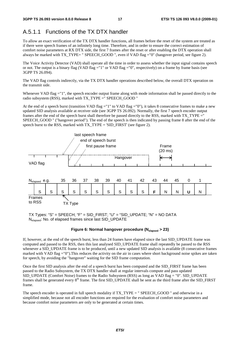### A.5.1.1 Functions of the TX DTX handler

To allow an exact verification of the TX DTX handler functions, all frames before the reset of the system are treated as if there were speech frames of an infinitely long time. Therefore, and in order to ensure the correct estimation of comfort noise parameters at RX DTX side, the first 7 frames after the reset or after enabling the DTX operation shall always be marked with TX\_TYPE= " SPEECH\_GOOD ", even if VAD flag ="0" (hangover period, see figure 2).

The Voice Activity Detector (VAD) shall operate all the time in order to assess whether the input signal contains speech or not. The output is a binary flag (VAD flag ="1" or VAD flag ="0", respectively) on a frame by frame basis (see 3GPP TS 26.094).

The VAD flag controls indirectly, via the TX DTX handler operations described below, the overall DTX operation on the transmit side.

Whenever VAD flag ="1", the speech encoder output frame along with mode information shall be passed directly to the radio subsystem (RSS), marked with TX\_TYPE =" SPEECH\_GOOD "

At the end of a speech burst (transition VAD flag ="1" to VAD flag ="0"), it takes 8 consecutive frames to make a new updated SID analysis available at receiver side (see 3GPP TS 26.092). Normally, the first 7 speech encoder output frames after the end of the speech burst shall therefore be passed directly to the RSS, marked with TX\_TYPE =" SPEECH\_GOOD " ("hangover period"). The end of the speech is then indicated by passing frame 8 after the end of the speech burst to the RSS, marked with TX\_TYPE = 'SID\_FIRST' (see figure 2).



TX Types: "S" = SPEECH; "F" = SID\_FIRST; "U" = "SID\_UPDATE; "N" = NO DATA Nelapsed: No. of elapsed frames since last SID\_UPDATE

#### Figure 6: Normal hangover procedure (N<sub>elapsed</sub> > 23)

If, however, at the end of the speech burst, less than 24 frames have elapsed since the last SID\_UPDATE frame was computed and passed to the RSS, then this last analysed SID\_UPDATE frame shall repeatedly be passed to the RSS whenever a SID\_UPDATE frame is to be produced, until a new updated SID analysis is available (8 consecutive frames marked with VAD flag  $=$  "0"). This reduces the activity on the air in cases where short background noise spikes are taken for speech, by avoiding the "hangover" waiting for the SID frame computation.

Once the first SID analysis after the end of a speech burst has been computed and the SID\_FIRST frame has been passed to the Radio Subsystem, the TX DTX handler shall at regular intervals compute and pass updated SID\_UPDATE (Comfort Noise) frames to the Radio Subsystem (RSS) as long as VAD flag = "0". SID\_UPDATE frames shall be generated every  $8<sup>th</sup>$  frame. The first SID\_UPDATE shall be sent as the third frame after the SID\_FIRST frame.

The speech encoder is operated in full speech modality if TX\_TYPE = " SPEECH\_GOOD " and otherwise in a simplified mode, because not all encoder functions are required for the evaluation of comfort noise parameters and because comfort noise parameters are only to be generated at certain times.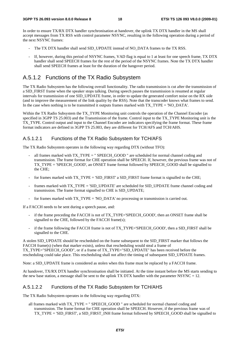In order to ensure TX/RX DTX handler synchronisation at handover, the uplink TX DTX handler in the MS shall accept messages from TX RSS with control parameter NSYNC, resulting in the following operation during a period of the next NSYNC frames:

- The TX DTX handler shall send SID\_UPDATE instead of NO\_DATA frames to the TX RSS.
- If, however, during this period of NSYNC frames, VAD flag is equal to 1 at least for one speech frame, TX DTX handler shall send SPEECH frames for the rest of the period of the NSYNC frames. Note the TX DTX handler shall send SPEECH frames at least for the duration of the hangover period.

### A.5.1.2 Functions of the TX Radio Subsystem

The TX Radio Subsystem has the following overall functionality. The radio transmission is cut after the transmission of a SID\_FIRST frame when the speaker stops talking. During speech pauses the transmission is resumed at regular intervals for transmission of one SID\_UPDATE frame, in order to update the generated comfort noise on the RX side (and to improve the measurement of the link quality by the RSS). Note that the transcoder knows what frames to send. In the case when nothing is to be transmitted it outputs frames marked with TX TYPE = 'NO DATA'.

Within the TX Radio Subsystem the TX\_TYPE Monitoring unit controls the operation of the Channel Encoder (as specified in 3GPP TS 25.003) and the Transmission of the frame. Control input to the TX\_TYPE Monitoring unit is the TX TYPE. Control output and input to the Channel Encoder are indicators specifying the frame format. These frame format indicators are defined in 3GPP TS 25.003, they are different for TCH/AFS and TCH/AHS.

#### A.5.1.2.1 Functions of the TX Radio Subsystem for TCH/AFS

The TX Radio Subsystem operates in the following way regarding DTX (without TFO):

- all frames marked with TX\_TYPE = " SPEECH\_GOOD " are scheduled for normal channel coding and transmission. The frame format for CHE operation shall be SPEECH. If, however, the previous frame was not of TX\_TYPE = 'SPEECH\_GOOD', an ONSET frame format followed by SPEECH\_GOOD shall be signalled to the CHE;
- for frames marked with TX\_TYPE = 'SID\_FIRST' a SID\_FIRST frame format is signalled to the CHE;
- frames marked with TX\_TYPE = 'SID\_UPDATE' are scheduled for SID\_UPDATE frame channel coding and transmission. The frame format signalled to CHE is SID\_UPDATE;
- for frames marked with TX\_TYPE = 'NO\_DATA' no processing or transmission is carried out.

If a FACCH needs to be sent during a speech pause, and:

- if the frame preceding the FACCH is not of TX\_TYPE='SPEECH\_GOOD', then an ONSET frame shall be signalled to the CHE, followed by the FACCH frame(s);
- if the frame following the FACCH frame is not of TX\_TYPE='SPEECH\_GOOD', then a SID\_FIRST shall be signalled to the CHE.

A stolen SID\_UPDATE should be rescheduled on the frame subsequent to the SID\_FIRST marker that follows the FACCH frame(s) (when that marker exists), unless that rescheduling would steal a frame of TX\_TYPE="SPEECH\_GOOD", or if a frame of TX\_TYPE="SID\_UPDATE" has been received before the rescheduling could take place. This rescheduling shall not affect the timing of subsequent SID\_UPDATE frames.

Note: a SID\_UPDATE frame is considered as stolen when this frame must be replaced by a FACCH frame.

At handover, TX/RX DTX handler synchronisation shall be initiated. At the time instant before the MS starts sending to the new base station, a message shall be sent to the uplink TX DTX handler with the parameter NSYNC = 12.

#### A.5.1.2.2 Functions of the TX Radio Subsystem for TCH/AHS

The TX Radio Subsystem operates in the following way regarding DTX:

all frames marked with TX\_TYPE = " SPEECH\_GOOD " are scheduled for normal channel coding and transmission. The frame format for CHE operation shall be SPEECH. However, if the previous frame was of TX\_TYPE = 'SID\_FIRST', a SID\_FIRST\_INH frame format followed by SPEECH\_GOOD shall be signalled to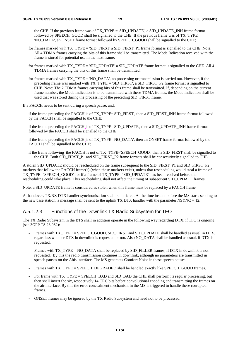the CHE. If the previous frame was of TX\_TYPE = 'SID\_UPDATE', a SID\_UPDATE\_INH frame format followed by SPEECH\_GOOD shall be signalled to the CHE. If the previous frame was of TX\_TYPE 'NO\_DATA', an ONSET frame format followed by SPEECH\_GOOD shall be signalled to the CHE;

- for frames marked with TX\_TYPE = 'SID\_FIRST' a SID\_FIRST\_P1 frame format is signalled to the CHE. Note: All 4 TDMA frames carrying the bits of this frame shall be transmitted. The Mode Indication received with the frame is stored for potential use in the next frame;
- for frames marked with TX\_TYPE = 'SID\_UPDATE' a SID\_UPDATE frame format is signalled to the CHE. All 4 TDMA frames carrying the bits of this frame shall be transmitted;
- for frames marked with TX\_TYPE = 'NO\_DATA', no processing or transmission is carried out. However, if the preceding frame was marked with TX\_TYPE = 'SID\_FIRST', a SID\_FIRST\_P2 frame format is signalled to CHE. Note: The 2 TDMA frames carrying bits of this frame shall be transmitted. If, depending on the current frame number, the Mode Indication is to be transmitted with these TDMA frames, the Mode Indication shall be used that was stored during the processing of the preceding SID\_FIRST frame.
- If a FACCH needs to be sent during a speech pause, and:

if the frame preceding the FACCH is of TX\_TYPE='SID\_FIRST', then a SID\_FIRST\_INH frame format followed by the FACCH shall be signalled to the CHE;

if the frame preceding the FACCH is of TX\_TYPE='SID\_UPDATE', then a SID\_UPDATE\_INH frame format followed by the FACCH shall be signalled to the CHE;

if the frame preceding the FACCH is of TX\_TYPE='NO\_DATA', then an ONSET frame format followed by the FACCH shall be signalled to the CHE;

if the frame following the FACCH is not of TX\_TYPE='SPEECH\_GOOD', then a SID\_FIRST shall be signalled to the CHE. Both SID\_FIRST\_P1 and SID\_FIRST\_P2 frame formats shall be consecutively signalled to CHE.

A stolen SID\_UPDATE should be rescheduled on the frame subsequent to the SID\_FIRST\_P1 and SID\_FIRST\_P2 markers that follow the FACCH frame(s) (when these markers exist), unless that rescheduling would steal a frame of TX\_TYPE="SPEECH\_GOOD", or if a frame of TX\_TYPE="SID\_UPDATE" has been received before the rescheduling could take place. This rescheduling shall not affect the timing of subsequent SID\_UPDATE frames.

Note: a SID\_UPDATE frame is considered as stolen when this frame must be replaced by a FACCH frame.

At handover, TX/RX DTX handler synchronisation shall be initiated. At the time instant before the MS starts sending to the new base station, a message shall be sent to the uplink TX DTX handler with the parameter NSYNC = 12.

#### A.5.1.2.3 Functions of the Downlink TX Radio Subsystem for TFO

The TX Radio Subsystem in the BTS shall in addition operate in the following way regarding DTX, if TFO is ongoing (see 3GPP TS 28.062):

- Frames with TX\_TYPE = SPEECH\_GOOD, SID\_FIRST and SID\_UPDATE shall be handled as usual in DTX, regardless whether DTX in downlink is requested or not. Also NO\_DATA shall be handled as usual, if DTX is requested.
- Frames with TX\_TYPE = NO\_DATA shall be replaced by SID\_FILLER frames, if DTX in downlink is not requested. By this the radio transmission continues in downlink, although no parameters are transmitted in speech pauses on the Abis interface. The MS generates Comfort Noise in these speech pauses.
- Frames with TX\_TYPE = SPEECH\_DEGRADED shall be handled exactly like SPEECH\_GOOD frames.
- For frame with TX\_TYPE = SPEECH\_BAD and SID\_BAD the CHE shall perform its regular processing, but then shall invert the six, respectively 14 CRC bits before convolutional encoding and transmitting the frames on the air interface. By this the error concealment mechanism in the MS is triggered to handle these corrupted frames.
- ONSET frames may be ignored by the TX Radio Subsystem and need not to be processed.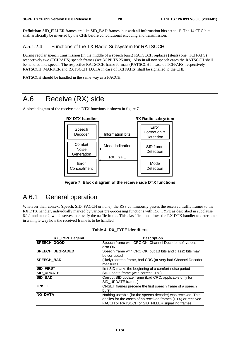**Definition:** SID\_FILLER frames are like SID\_BAD frames, but with all information bits set to '1'. The 14 CRC bits shall artificially be inverted by the CHE before convolutional encoding and transmission.

#### A.5.1.2.4 Functions of the TX Radio Subsystem for RATSCCH

During regular speech transmission (in the middle of a speech burst) RATSCCH replaces (steals) one (TCH/AFS) respectively two (TCH/AHS) speech frames (see 3GPP TS 25.009). Also in all non speech cases the RATSCCH shall be handled like speech. The respective RATSCCH frame formats (RATSCCH in case of TCH/AFS, respectively RATSCCH\_MARKER and RATSCCH\_DATA in case of TCH/AHS) shall be signalled to the CHE.

RATSCCH should be handled in the same way as a FACCH.

### A.6 Receive (RX) side

A block diagram of the receive side DTX functions is shown in figure 7.



**Figure 7: Block diagram of the receive side DTX functions** 

### A.6.1 General operation

Whatever their context (speech, SID, FACCH or none), the RSS continuously passes the received traffic frames to the RX DTX handler, individually marked by various pre-processing functions with RX TYPE as described in subclause 6.1.1 and table 2, which serves to classify the traffic frame. This classification allows the RX DTX handler to determine in a simple way how the received frame is to be handled.

| <b>RX_TYPE Legend</b> | <b>Description</b>                                                                                                                                                                |
|-----------------------|-----------------------------------------------------------------------------------------------------------------------------------------------------------------------------------|
| SPEECH_GOOD           | Speech frame with CRC OK, Channel Decoder soft values<br>lalso OK                                                                                                                 |
| SPEECH_DEGRADED       | Speech frame with CRC OK, but 1B bits and class2 bits may<br>be corrupted                                                                                                         |
| <b>SPEECH_BAD</b>     | (likely) speech frame, bad CRC (or very bad Channel Decoder<br>measures)                                                                                                          |
| <b>SID_FIRST</b>      | first SID marks the beginning of a comfort noise period                                                                                                                           |
| <b>SID UPDATE</b>     | SID update frame (with correct CRC)                                                                                                                                               |
| <b>SID BAD</b>        | Corrupt SID update frame (bad CRC; applicable only for<br>SID_UPDATE frames)                                                                                                      |
| <b>ONSET</b>          | ONSET frames precede the first speech frame of a speech<br>lburst                                                                                                                 |
| <b>NO DATA</b>        | Nothing useable (for the speech decoder) was received. This<br>applies for the cases of no received frames (DTX) or received<br>FACCH or RATSCCH or SID_FILLER signalling frames. |

|  | Table 4: RX TYPE identifiers |
|--|------------------------------|
|  |                              |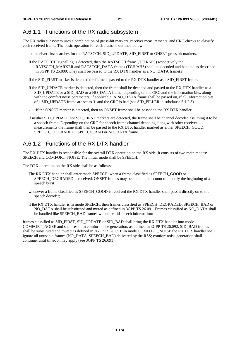### A.6.1.1 Functions of the RX radio subsystem

The RX radio subsystem uses a combination of gross-bit markers, receiver measurements, and CRC checks to classify each received frame. The basic operation for each frame is outlined below:

the receiver first searches for the RATSCCH, SID\_UPDATE, SID\_FIRST or ONSET gross bit markers.

If the RATSCCH signalling is detected, then the RATSCCH frame (TCH/AFS) respectively the RATSCCH\_MARKER and RATSCCH\_DATA frames (TCH/AHS) shall be decoded and handled as described in 3GPP TS 25.009. They shall be passed to the RX DTX handler as a NO\_DATA frame(s).

If the SID\_FIRST marker is detected the frame is passed to the RX DTX handler as a SID\_FIRST frame.

- If the SID\_UPDATE marker is detected, then the frame shall be decoded and passed to the RX DTX handler as a SID\_UPDATE or a SID\_BAD or a NO\_DATA frame, depending on the CRC and the information bits, along with the comfort noise parameters, if applicable. A NO\_DATA frame shall be passed on, if all information bits of a SID UPDATE frame are set to '1' and the CRC is bad (see SID FILLER in subclause 5.1.2.3).
- If the ONSET marker is detected, then an ONSET frame shall be passed to the RX DTX handler.
- if neither SID\_UPDATE nor SID\_FIRST markers are detected, the frame shall be channel decoded assuming it to be a speech frame. Depending on the CRC for speech frame channel decoding along with other receiver measurements the frame shall then be passed to the RX DTX handler marked as either SPEECH\_GOOD, SPEECH\_DEGRADED, SPEECH\_BAD or NO\_DATA frame.

#### A.6.1.2 Functions of the RX DTX handler

The RX DTX handler is responsible for the overall DTX operation on the RX side. It consists of two main modes: SPEECH and COMFORT\_NOISE. The initial mode shall be SPEECH.

The DTX operation on the RX side shall be as follows:

- The RX DTX handler shall enter mode SPEECH, when a frame classified as SPEECH\_GOOD or SPEECH\_DEGRADED is received. ONSET frames may be taken into account to identify the beginning of a speech burst;
- whenever a frame classified as SPEECH\_GOOD is received the RX DTX handler shall pass it directly on to the speech decoder;
- if the RX DTX handler is in mode SPEECH, then frames classified as SPEECH\_DEGRADED, SPEECH\_BAD or NO\_DATA shall be substituted and muted as defined in 3GPP TS 26.091. Frames classified as NO\_DATA shall be handled like SPEECH\_BAD frames without valid speech information;

frames classified as SID\_FIRST, SID\_UPDATE or SID\_BAD shall bring the RX DTX handler into mode COMFORT\_NOISE and shall result in comfort noise generation, as defined in 3GPP TS 26.092. SID\_BAD frames shall be substituted and muted as defined in 3GPP TS 26.091. In mode COMFORT\_NOISE the RX DTX handler shall ignore all unusable frames (NO\_DATA, SPEECH\_BAD) delivered by the RSS; comfort noise generation shall continue, until timeout may apply (see 3GPP TS 26.091).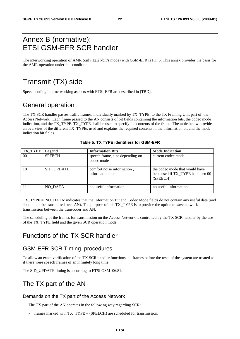### Annex B (normative): ETSI GSM-EFR SCR handler

The interworking operation of AMR (only 12.2 kbit/s mode) with GSM-EFR is F.F.S. This annex provides the basis for the AMR operation under this condition.

### Transmit (TX) side

Speech coding internetworking aspects with ETSI-EFR are described in [TBD].

### General operation

The TX SCR handler passes traffic frames, individually marked by TX\_TYPE, to the TX Framing Unit part of the Access Network. Each frame passed to the AN consists of bit fields containing the information bits, the codec mode indication, and the TX\_TYPE. TX\_TYPE shall be used to specify the contents of the frame. The table below provides an overview of the different TX\_TYPEs used and explains the required contents in the information bit and the mode indication bit fields.

| <b>TX TYPE</b> | Legend            | <b>Information Bits</b>                        | <b>Mode Indication</b>                                                         |
|----------------|-------------------|------------------------------------------------|--------------------------------------------------------------------------------|
| 00             | <b>SPEECH</b>     | speech frame, size depending on<br>codec mode  | current codec mode                                                             |
| 10             | <b>SID UPDATE</b> | comfort noise information,<br>information bits | the codec mode that would have<br>been used if TX TYPE had been 00<br>(SPEECH) |
|                | NO DATA           | no useful information                          | no useful information                                                          |

#### **Table 5: TX TYPE identifiers for GSM-EFR**

TX\_TYPE = 'NO\_DATA' indicates that the Information Bit and Codec Mode fields do not contain any useful data (and should not be transmitted over AN). The purpose of this TX\_TYPE is to provide the option to save network transmission between the transcoder and AN.

The scheduling of the frames for transmission on the Access Network is controlled by the TX SCR handler by the use of the TX\_TYPE field and the given SCR operation mode.

### Functions of the TX SCR handler

### GSM-EFR SCR Timing procedures

To allow an exact verification of the TX SCR handler functions, all frames before the reset of the system are treated as if there were speech frames of an infinitely long time.

The SID\_UPDATE timing is according to ETSI GSM 06.81.

### The TX part of the AN

#### Demands on the TX part of the Access Network

The TX part of the AN operates in the following way regarding SCR:

frames marked with  $TX_TYPE = (SPEECH)$  are scheduled for transmission.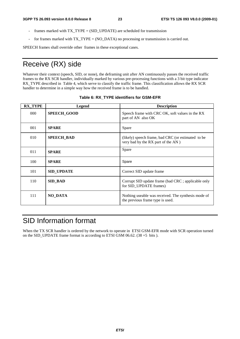- frames marked with TX\_TYPE = (SID\_UPDATE) are scheduled for transmission
- for frames marked with TX\_TYPE = (NO\_DATA) no processing or transmission is carried out.

SPEECH frames shall override other frames in these exceptional cases.

### Receive (RX) side

Whatever their context (speech, SID, or none), the deframing unit after AN continuously passes the received traffic frames to the RX SCR handler, individually marked by various pre-processing functions with a 3 bit type indicator RX TYPE described in Table 4, which serve to classify the traffic frame. This classification allows the RX SCR handler to determine in a simple way how the received frame is to be handled.

| <b>RX TYPE</b> | Legend             | <b>Description</b>                                                                       |
|----------------|--------------------|------------------------------------------------------------------------------------------|
| 000            | <b>SPEECH GOOD</b> | Speech frame with CRC OK, soft values in the RX<br>part of AN also OK                    |
| 001            | <b>SPARE</b>       | Spare                                                                                    |
| 010            | <b>SPEECH_BAD</b>  | (likely) speech frame, bad CRC (or estimated to be<br>very bad by the RX part of the AN) |
| 011            | <b>SPARE</b>       | Spare                                                                                    |
| 100            | <b>SPARE</b>       | Spare                                                                                    |
| 101            | <b>SID UPDATE</b>  | Correct SID update frame                                                                 |
| 110            | <b>SID_BAD</b>     | Corrupt SID update frame (bad CRC; applicable only<br>for SID UPDATE frames)             |
| 111            | <b>NO_DATA</b>     | Nothing useable was received. The synthesis mode of<br>the previous frame type is used.  |

#### **Table 6: RX\_TYPE identifiers for GSM-EFR**

## SID Information format

When the TX SCR handler is ordered by the network to operate in ETSI GSM-EFR mode with SCR operation turned on the SID\_UPDATE frame format is according to ETSI GSM 06.62. (38 +5 bits ).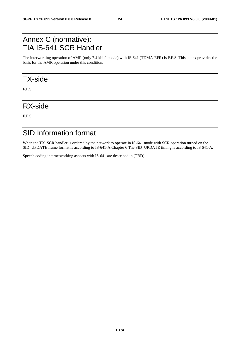### Annex C (normative): TIA IS-641 SCR Handler

The interworking operation of AMR (only 7.4 kbit/s mode) with IS-641 (TDMA-EFR) is F.F.S. This annex provides the basis for the AMR operation under this condition.

### TX-side

F.F.S

### RX-side

F.F.S

### SID Information format

When the TX SCR handler is ordered by the network to operate in IS-641 mode with SCR operation turned on the SID UPDATE frame format is according to IS-641-A Chapter 6 The SID UPDATE timing is according to IS 641-A.

Speech coding internetworking aspects with IS-641 are described in [TBD].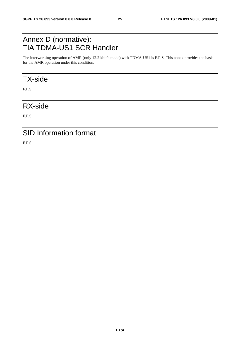### Annex D (normative): TIA TDMA-US1 SCR Handler

The interworking operation of AMR (only 12.2 kbit/s mode) with TDMA-US1 is F.F.S. This annex provides the basis for the AMR operation under this condition.

### TX-side

F.F.S

### RX-side

F.F.S

### SID Information format

F.F.S.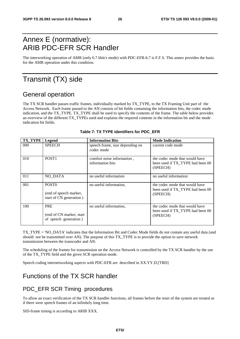### Annex E (normative): ARIB PDC-EFR SCR Handler

The interworking operation of AMR (only 6.7 kbit/s mode) with PDC-EFR-6.7 is F.F.S. This annex provides the basis for the AMR operation under this condition.

### Transmit (TX) side

### General operation

The TX SCR handler passes traffic frames, individually marked by TX\_TYPE, to the TX Framing Unit part of the Access Network. Each frame passed to the AN consists of bit fields containing the information bits, the codec mode indication, and the TX\_TYPE. TX\_TYPE shall be used to specify the contents of the frame. The table below provides an overview of the different TX\_TYPEs used and explains the required contents in the information bit and the mode indication bit fields.

| <b>TX TYPE</b>   | Legend                                                                 | <b>Information Bits</b>                        | <b>Mode Indication</b>                                                         |
|------------------|------------------------------------------------------------------------|------------------------------------------------|--------------------------------------------------------------------------------|
| 000 <sub>1</sub> | <b>SPEECH</b>                                                          | speech frame, size depending on<br>codec mode  | current code mode                                                              |
| 010              | POST <sub>1</sub>                                                      | comfort noise information,<br>information bits | the codec mode that would have<br>been used if TX_TYPE had been 00<br>(SPEECH) |
| 011              | NO DATA                                                                | no useful information                          | no useful information                                                          |
| 001              | POST <sub>0</sub><br>(end of speech marker,<br>start of CN generation) | no useful information,                         | the codec mode that would have<br>been used if TX TYPE had been 00<br>(SPEECH) |
| 100              | <b>PRE</b><br>(end of CN marker, start)<br>of speech generation)       | no useful information,                         | the codec mode that would have<br>been used if TX TYPE had been 00<br>(SPEECH) |

#### **Table 7: TX TYPE identifiers for PDC\_EFR**

TX\_TYPE = 'NO\_DATA' indicates that the Information Bit and Codec Mode fields do not contain any useful data (and should not be transmitted over AN). The purpose of this TX\_TYPE is to provide the option to save network transmission between the transcoder and AN.

The scheduling of the frames for transmission on the Access Network is controlled by the TX SCR handler by the use of the TX\_TYPE field and the given SCR operation mode.

Speech coding internetworking aspects with PDC-EFR are described in XX.YY.D.[TBD]

### Functions of the TX SCR handler

#### PDC\_EFR SCR Timing procedures

To allow an exact verification of the TX SCR handler functions, all frames before the reset of the system are treated as if there were speech frames of an infinitely long time.

SID-frame timing is according to ARIB XXX.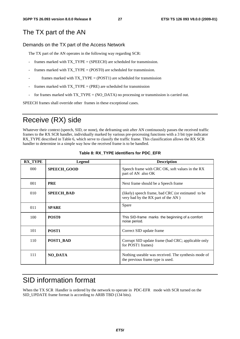### The TX part of the AN

#### Demands on the TX part of the Access Network

The TX part of the AN operates in the following way regarding SCR:

- frames marked with  $TX_TYPE = (SPEECH)$  are scheduled for transmission.
- frames marked with  $TX_TYPE = (POST0)$  are scheduled for transmission.
- frames marked with  $TX_TYPE = (POST1)$  are scheduled for transmission
- frames marked with  $TX_TYPE = (PRE)$  are scheduled for transmission
- for frames marked with TX\_TYPE = (NO\_DATA) no processing or transmission is carried out.

SPEECH frames shall override other frames in these exceptional cases.

## Receive (RX) side

Whatever their context (speech, SID, or none), the deframing unit after AN continuously passes the received traffic frames to the RX SCR handler, individually marked by various pre-processing functions with a 3 bit type indicator RX TYPE described in Table 6, which serve to classify the traffic frame. This classification allows the RX SCR handler to determine in a simple way how the received frame is to be handled.

| <b>RX TYPE</b> | <b>Legend</b>      | <b>Description</b>                                                                       |
|----------------|--------------------|------------------------------------------------------------------------------------------|
| 000            | <b>SPEECH_GOOD</b> | Speech frame with CRC OK, soft values in the RX<br>part of AN also OK                    |
| 001            | <b>PRE</b>         | Next frame should be a Speech frame                                                      |
| 010            | SPEECH_BAD         | (likely) speech frame, bad CRC (or estimated to be<br>very bad by the RX part of the AN) |
| 011            | <b>SPARE</b>       | Spare                                                                                    |
| 100            | POST <sub>0</sub>  | This SID-frame marks the beginning of a comfort<br>noise period.                         |
| 101            | POST <sub>1</sub>  | Correct SID update frame                                                                 |
| 110            | POST1 BAD          | Corrupt SID update frame (bad CRC; applicable only<br>for POST1 frames)                  |
| 111            | <b>NO DATA</b>     | Nothing useable was received. The synthesis mode of<br>the previous frame type is used.  |

#### **Table 8: RX\_TYPE identifiers for PDC\_EFR**

### SID information format

When the TX SCR Handler is ordered by the network to operate in PDC-EFR mode with SCR turned on the SID UPDATE frame format is according to ARIB TBD (134 bits).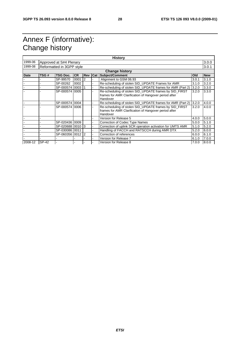## Annex F (informative): Change history

| <b>History</b>        |                           |                  |           |                |            |                                                            |       |            |  |
|-----------------------|---------------------------|------------------|-----------|----------------|------------|------------------------------------------------------------|-------|------------|--|
| 1999-06               | Approved at S#4 Plenary   |                  |           |                |            | 3.0.0                                                      |       |            |  |
| 1999-08               | Reformatted in 3GPP style |                  |           |                |            |                                                            | 3.0.1 |            |  |
| <b>Change history</b> |                           |                  |           |                |            |                                                            |       |            |  |
| <b>Date</b>           | TSG#                      | <b>TSG Doc.</b>  | <b>CR</b> | <b>Rev</b>     | <b>Cat</b> | <b>Subject/Comment</b>                                     | Old   | <b>New</b> |  |
|                       |                           | SP-99570         | 0001      | $\overline{2}$ |            | Alignment to GSM 06.93                                     | 3.0.1 | 3.1.0      |  |
|                       |                           | SP-00262         | 0002      |                |            | Re-scheduling of stolen SID UPDATE Frames for AMR          | 3.1.0 | 3.2.0      |  |
|                       |                           | SP-000574 0003   |           |                |            | Re-scheduling of stolen SID UPDATE frames for AMR (Part 2) | 3.2.0 | 3.3.0      |  |
|                       |                           | SP-000574 0005   |           |                |            | Re-scheduling of stolen SID_UPDATE frames by SID_FIRST     | 3.2.0 | 3.3.0      |  |
|                       |                           |                  |           |                |            | frames for AMR Clarification of Hangover period after      |       |            |  |
|                       |                           |                  |           |                |            | Handover                                                   |       |            |  |
|                       |                           | SP-000574 0004   |           |                |            | Re-scheduling of stolen SID_UPDATE frames for AMR (Part 2) | 3.2.0 | 4.0.0      |  |
|                       |                           | SP-000574 0006   |           |                |            | Re-scheduling of stolen SID UPDATE frames by SID FIRST     | 3.2.0 | 4.0.0      |  |
|                       |                           |                  |           |                |            | frames for AMR Clarification of Hangover period after      |       |            |  |
|                       |                           |                  |           |                |            | Handover                                                   |       |            |  |
|                       |                           |                  |           |                |            | Version for Release 5                                      | 4.0.0 | 5.0.0      |  |
|                       |                           | SP-020436 0009   |           |                |            | Correction of Codec Type Names                             | 5.0.0 | 5.1.0      |  |
|                       |                           | SP-020688 0010 3 |           |                |            | Correction of uplink SCR operation activation for UMTS AMR | 5.1.0 | 5.2.0      |  |
|                       |                           | SP-030086 0011   |           |                |            | Handling of FACCH and RATSCCH during AMR DTX               | 5.2.0 | 6.0.0      |  |
|                       |                           | SP-060356 0012 2 |           |                |            | Correction of references                                   | 6.0.0 | 6.1.0      |  |
|                       |                           |                  |           |                |            | Version for Release 7                                      | 6.1.0 | 7.0.0      |  |
| 2008-12               | SP-42                     |                  |           |                |            | Version for Release 8                                      | 7.0.0 | 8.0.0      |  |